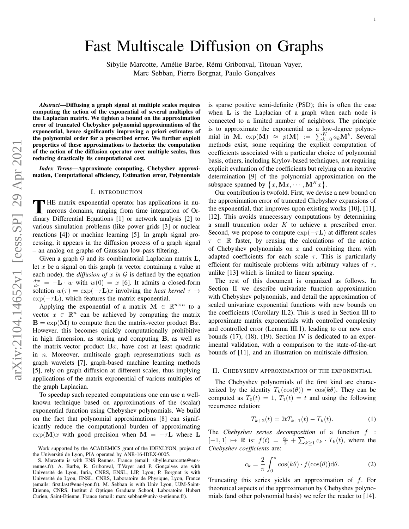# Fast Multiscale Diffusion on Graphs

Sibylle Marcotte, Amélie Barbe, Rémi Gribonval, Titouan Vayer, Marc Sebban, Pierre Borgnat, Paulo Gonçalves

*Abstract*—Diffusing a graph signal at multiple scales requires computing the action of the exponential of several multiples of the Laplacian matrix. We tighten a bound on the approximation error of truncated Chebyshev polynomial approximations of the exponential, hence significantly improving a priori estimates of the polynomial order for a prescribed error. We further exploit properties of these approximations to factorize the computation of the action of the diffusion operator over multiple scales, thus reducing drastically its computational cost.

*Index Terms*—Approximate computing, Chebyshev approximation, Computational efficiency, Estimation error, Polynomials

### I. INTRODUCTION

THE matrix exponential operator has applications in nu-<br>merous domains, ranging from time integration of Or-<br>discuss Differential Equations [1] as actually spaling [2] to merous domains, ranging from time integration of Ordinary Differential Equations [1] or network analysis [2] to various simulation problems (like power grids [3] or nuclear reactions [4]) or machine learning [5]. In graph signal processing, it appears in the diffusion process of a graph signal – an analog on graphs of Gaussian low-pass filtering.

Given a graph  $G$  and its combinatorial Laplacian matrix  $L$ , let  $x$  be a signal on this graph (a vector containing a value at each node), the *diffusion of* x in  $G$  is defined by the equation  $\frac{dw}{d\tau} = -\mathbf{L} \cdot w$  with  $w(0) = x$  [6]. It admits a closed-form solution  $w(\tau) = \exp(-\tau \mathbf{L})x$  involving the *heat kernel*  $\tau \to$  $\exp(-\tau L)$ , which features the matrix exponential.

Applying the exponential of a matrix  $\mathbf{M} \in \mathbb{R}^{n \times n}$  to a vector  $x \in \mathbb{R}^n$  can be achieved by computing the matrix  $B = exp(M)$  to compute then the matrix-vector product  $Bx$ . However, this becomes quickly computationally prohibitive in high dimension, as storing and computing B, as well as the matrix-vector product  $Bx$ , have cost at least quadratic in  $n$ . Moreover, multiscale graph representations such as graph wavelets [7], graph-based machine learning methods [5], rely on graph diffusion at different scales, thus implying applications of the matrix exponential of various multiples of the graph Laplacian.

To speedup such repeated computations one can use a wellknown technique based on approximations of the (scalar) exponential function using Chebyshev polynomials. We build on the fact that polynomial approximations [8] can significantly reduce the computational burden of approximating  $\exp(\mathbf{M})x$  with good precision when  $\mathbf{M} = -\tau \mathbf{L}$  where  $\mathbf{L}$  is sparse positive semi-definite (PSD); this is often the case when **L** is the Laplacian of a graph when each node is connected to a limited number of neighbors. The principle is to approximate the exponential as a low-degree polynomial in M,  $\exp(M) \approx p(M) := \sum_{k=0}^{K} a_k M^k$ . Several methods exist, some requiring the explicit computation of coefficients associated with a particular choice of polynomial basis, others, including Krylov-based techniques, not requiring explicit evaluation of the coefficients but relying on an iterative determination [9] of the polynomial approximation on the subspace spanned by  $\{x, \mathbf{M}x, \cdots, \mathbf{M}^{K}x\}.$ 

Our contribution is twofold. First, we devise a new bound on the approximation error of truncated Chebyshev expansions of the exponential, that improves upon existing works [10], [11], [12]. This avoids unnecessary computations by determining a small truncation order K to achieve a prescribed error. Second, we propose to compute  $\exp(-\tau L)$  at different scales  $\tau \in \mathbb{R}$  faster, by reusing the calculations of the action of Chebyshev polynomials on  $x$  and combining them with adapted coefficients for each scale  $\tau$ . This is particularly efficient for multiscale problems with arbitrary values of  $\tau$ , unlike [13] which is limited to linear spacing.

The rest of this document is organized as follows. In Section II we describe univariate function approximation with Chebyshev polynomials, and detail the approximation of scaled univariate exponential functions with new bounds on the coefficients (Corollary II.2). This is used in Section III to approximate matrix exponentials with controlled complexity and controlled error (Lemma III.1), leading to our new error bounds (17), (18), (19). Section IV is dedicated to an experimental validation, with a comparison to the state-of-the-art bounds of [11], and an illustration on multiscale diffusion.

### II. CHEBYSHEV APPROXIMATION OF THE EXPONENTIAL

The Chebyshev polynomials of the first kind are characterized by the identity  $T_k(\cos(\theta)) = \cos(k\theta)$ . They can be computed as  $T_0(t) = 1$ ,  $T_1(t) = t$  and using the following recurrence relation:

$$
T_{k+2}(t) = 2tT_{k+1}(t) - T_k(t). \tag{1}
$$

The *Chebyshev series decomposition* of a function f : [-1, 1]  $\mapsto \mathbb{R}$  is:  $f(t) = \frac{c_0}{2} + \sum_{k\geq 1} c_k \cdot T_k(t)$ , where the *Chebyshev coefficients* are:

$$
c_k = \frac{2}{\pi} \int_0^{\pi} \cos(k\theta) \cdot f(\cos(\theta)) \, d\theta. \tag{2}
$$

Truncating this series yields an approximation of f. For theoretical aspects of the approximation by Chebyshev polynomials (and other polynomial basis) we refer the reader to [14].

Work supported by the ACADEMICS grant of the IDEXLYON, project of the Université de Lyon, PIA operated by ANR-16-IDEX-0005.

S. Marcotte is with ENS Rennes. France (email: sibylle.marcotte@ensrennes.fr). A. Barbe, R. Gribonval, T.Vayer and P. Gonçalves are with Universite de Lyon, Inria, CNRS, ENSL, LIP, Lyon; P. Borgnat is with ´ Universite de Lyon, ENSL, CNRS, Laboratoire de Physique, Lyon, France ´ (emails: first.last@ens-lyon.fr). M. Sebban is with Univ Lyon, UJM-Saint-Etienne, CNRS, Institut d Optique Graduate School, Laboratoire Hubert Curien, Saint-Etienne, France (email: marc.sebban@univ-st-etienne.fr).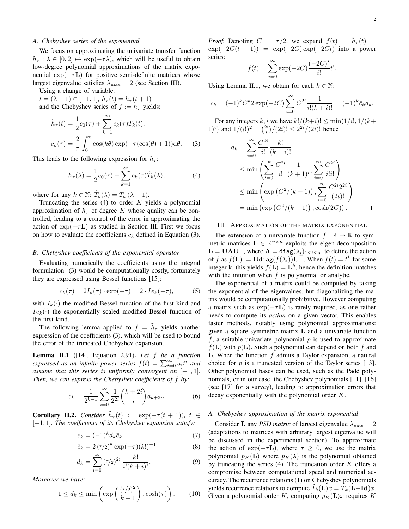# *A. Chebyshev series of the exponential*

We focus on approximating the univariate transfer function  $h_{\tau} : \lambda \in [0, 2] \mapsto \exp(-\tau \lambda)$ , which will be useful to obtain low-degree polynomial approximations of the matrix exponential  $\exp(-\tau L)$  for positive semi-definite matrices whose largest eigenvalue satisfies  $\lambda_{\text{max}} = 2$  (see Section III).

Using a change of variable:

 $t = (\lambda - 1) \in [-1, 1], \, \tilde{h}_{\tau}(t) = h_{\tau}(t + 1)$ and the Chebyshev series of  $f := \tilde{h}_{\tau}$  yields:

$$
\tilde{h}_{\tau}(t) = \frac{1}{2}c_0(\tau) + \sum_{k=1}^{\infty} c_k(\tau)T_k(t),
$$
  

$$
c_k(\tau) = \frac{2}{\pi} \int_0^{\pi} \cos(k\theta) \exp(-\tau(\cos(\theta) + 1)) \,d\theta.
$$
 (3)

This leads to the following expression for  $h_{\tau}$ :

$$
h_{\tau}(\lambda) = \frac{1}{2}c_0(\tau) + \sum_{k=1}^{\infty} c_k(\tau)\tilde{T}_k(\lambda),
$$
 (4)

where for any  $k \in \mathbb{N}$ :  $\tilde{T}_k(\lambda) = T_k(\lambda - 1)$ .

Truncating the series  $(4)$  to order K yields a polynomial approximation of  $h_{\tau}$  of degree K whose quality can be controlled, leading to a control of the error in approximating the action of  $\exp(-\tau L)$  as studied in Section III. First we focus on how to evaluate the coefficients  $c_k$  defined in Equation (3).

#### *B. Chebyshev coefficients of the exponential operator*

Evaluating numerically the coefficients using the integral formulation (3) would be computationally costly, fortunately they are expressed using Bessel functions [15]:

$$
c_k(\tau) = 2I_k(\tau) \cdot \exp(-\tau) = 2 \cdot I e_k(-\tau), \tag{5}
$$

with  $I_k(\cdot)$  the modified Bessel function of the first kind and  $Ie_k(\cdot)$  the exponentially scaled modified Bessel function of the first kind.

The following lemma applied to  $f = \tilde{h}_{\tau}$  yields another expression of the coefficients (3), which will be used to bound the error of the truncated Chebyshev expansion.

Lemma II.1 ([14], Equation 2.91). *Let* f *be a function* expressed as an infinite power series  $f(t) = \sum_{i=0}^{\infty} a_i t^i$  and *assume that this series is uniformly convergent on*  $[-1, 1]$ *. Then, we can express the Chebyshev coefficients of* f *by:*

$$
c_k = \frac{1}{2^{k-1}} \sum_{i=0}^{\infty} \frac{1}{2^{2i}} {k+2i \choose i} a_{k+2i}.
$$
 (6)

**Corollary II.2.** *Consider*  $\tilde{h}_{\tau}(t) := \exp(-\tau(t+1)), t \in$ [−1, 1]*. The coefficients of its Chebyshev expansion satisfy:*

$$
c_k = (-1)^k d_k \bar{c}_k \tag{7}
$$

$$
\bar{c}_k = 2\left(\tau/2\right)^k \exp(-\tau) (k!)^{-1} \tag{8}
$$

$$
d_k = \sum_{i=0}^{\infty} \left(\frac{\tau}{2}\right)^{2i} \frac{k!}{i!(k+i)!}.
$$
 (9)

*Moreover we have:*

$$
1 \le d_k \le \min\left(\exp\left(\frac{(\tau/2)^2}{k+1}\right), \cosh(\tau)\right). \tag{10}
$$

*Proof.* Denoting  $C = \tau/2$ , we expand  $f(t) = \tilde{h}_{\tau}(t)$  $\exp(-2C(t+1)) = \exp(-2C)\exp(-2Ct)$  into a power series:

$$
f(t) = \sum_{i=0}^{\infty} \exp(-2C) \frac{(-2C)^i}{i!} t^i.
$$

Using Lemma II.1, we obtain for each  $k \in \mathbb{N}$ :

$$
c_k = (-1)^k C^k 2 \exp(-2C) \sum_{i=0}^{\infty} C^{2i} \frac{1}{i!(k+i)!} = (-1)^k \bar{c}_k d_k.
$$

For any integers k, i we have  $k!/(k+i)! \le \min(1/i!, 1/(k+i))$ 1)<sup>*i*</sup>) and  $1/(i!)^2 = \binom{2i}{i}/(2i)! \leq 2^{2i}/(2i)!$  hence

$$
d_k = \sum_{i=0}^{\infty} \frac{C^{2i}}{i!} \frac{k!}{(k+i)!}
$$
  
\n
$$
\leq \min \left( \sum_{i=0}^{\infty} \frac{C^{2i}}{i!} \frac{1}{(k+1)^i}, \sum_{i=0}^{\infty} \frac{C^{2i}}{i!i!} \right)
$$
  
\n
$$
\leq \min \left( \exp \left( C^2 / (k+1) \right), \sum_{i=0}^{\infty} \frac{C^{2i} 2^{2i}}{(2i)!} \right)
$$
  
\n
$$
= \min \left( \exp \left( C^2 / (k+1) \right), \cosh(2C) \right).
$$

### III. APPROXIMATION OF THE MATRIX EXPONENTIAL

The extension of a univariate function  $f : \mathbb{R} \to \mathbb{R}$  to symmetric matrices  $\mathbf{L} \in \mathbb{R}^{n \times n}$  exploits the eigen-decomposition  $\mathbf{L} = \mathbf{U} \mathbf{\Lambda} \mathbf{U}^{\top}$ , where  $\mathbf{\Lambda} = \text{diag}(\lambda_i)_{1 \leq i \leq n}$ , to define the action of f as  $f(\mathbf{L}) := \mathbf{U}\text{diag}(f(\lambda_i))\mathbf{U}^\top$ . When  $f(t) = t^k$  for some integer k, this yields  $f(L) = L^k$ , hence the definition matches with the intuition when  $f$  is polynomial or analytic.

The exponential of a matrix could be computed by taking the exponential of the eigenvalues, but diagonalizing the matrix would be computationally prohibitive. However computing a matrix such as  $\exp(-\tau L)$  is rarely required, as one rather needs to compute its *action* on a given vector. This enables faster methods, notably using polynomial approximations: given a square symmetric matrix L and a univariate function f, a suitable univariate polynomial  $p$  is used to approximate  $f(\mathbf{L})$  with  $p(\mathbf{L})$ . Such a polynomial can depend on both f and **L.** When the function  $f$  admits a Taylor expansion, a natural choice for  $p$  is a truncated version of the Taylor series [13]. Other polynomial bases can be used, such as the Padé polynomials, or in our case, the Chebyshev polynomials [11], [16] (see [17] for a survey), leading to approximation errors that decay exponentially with the polynomial order K.

# *A. Chebyshev approximation of the matrix exponential*

Consider **L** any *PSD matrix* of largest eigenvalue  $\lambda_{\text{max}} = 2$ (adaptations to matrices with arbitrary largest eigenvalue will be discussed in the experimental section). To approximate the action of  $\exp(-\tau L)$ , where  $\tau \geq 0$ , we use the matrix polynomial  $p_K(L)$  where  $p_K(\lambda)$  is the polynomial obtained by truncating the series  $(4)$ . The truncation order K offers a compromise between computational speed and numerical accuracy. The recurrence relations (1) on Chebyshev polynomials yields recurrence relations to compute  $\tilde{T}_k(\mathbf{L})x = \tilde{T}_k(\mathbf{L}-\mathbf{Id})x$ . Given a polynomial order K, computing  $p_K(L)x$  requires K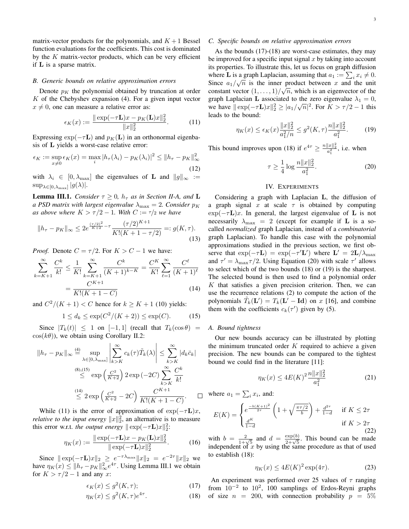matrix-vector products for the polynomials, and  $K + 1$  Bessel function evaluations for the coefficients. This cost is dominated by the  $K$  matrix-vector products, which can be very efficient if L is a sparse matrix.

# *B. Generic bounds on relative approximation errors*

Denote  $p<sub>K</sub>$  the polynomial obtained by truncation at order  $K$  of the Chebyshev expansion (4). For a given input vector  $x \neq 0$ , one can measure a relative error as:

$$
\epsilon_K(x) := \frac{\|\exp(-\tau \mathbf{L})x - p_K(\mathbf{L})x\|_2^2}{\|x\|_2^2}.
$$
 (11)

Expressing  $\exp(-\tau \mathbf{L})$  and  $p_K(\mathbf{L})$  in an orthonormal eigenbasis of L yields a worst-case relative error:

$$
\epsilon_K := \sup_{x \neq 0} \epsilon_K(x) = \max_i |h_\tau(\lambda_i) - p_K(\lambda_i)|^2 \le ||h_\tau - p_K||_\infty^2
$$
\n(12)

with  $\lambda_i \in [0, \lambda_{\text{max}}]$  the eigenvalues of **L** and  $||g||_{\infty} :=$  $\sup_{\lambda \in [0, \lambda_{\max}]} |g(\lambda)|.$ 

**Lemma III.1.** *Consider*  $\tau \geq 0$ *,*  $h_{\tau}$  *as in Section II-A, and* **L** *a PSD matrix with largest eigenvalue*  $\lambda_{\text{max}} = 2$ *. Consider*  $p_K$ *as above where*  $K > \tau/2 - 1$ *. With*  $C := \tau/2$  *we have* 

$$
||h_{\tau} - p_K||_{\infty} \le 2e^{\frac{(\tau/2)^2}{K+2} - \tau} \frac{(\tau/2)^{K+1}}{K!(K+1-\tau/2)} =: g(K, \tau).
$$
\n(13)

*Proof.* Denote  $C = \tau/2$ . For  $K > C - 1$  we have:

$$
\sum_{k=K+1}^{\infty} \frac{C^k}{k!} \le \frac{1}{K!} \sum_{k=K+1}^{\infty} \frac{C^k}{(K+1)^{k-K}} = \frac{C^K}{K!} \sum_{\ell=1}^{\infty} \frac{C^{\ell}}{(K+1)^{\ell}}
$$

$$
= \frac{C^{K+1}}{K!(K+1-C)}
$$
(14)

and  $C^2/(K+1) < C$  hence for  $k \geq K + 1$  (10) yields:

$$
1 \le d_k \le \exp(C^2/(K+2)) \le \exp(C). \tag{15}
$$

Since  $|T_k(t)| \leq 1$  on  $[-1, 1]$  (recall that  $T_k(\cos \theta) =$  $cos(k\theta)$ , we obtain using Corollary II.2:

$$
||h_{\tau} - p_K||_{\infty} \stackrel{\text{(4)}}{=} \sup_{\lambda \in [0, \lambda_{\text{max}}]} \left| \sum_{k > K}^{\infty} c_k(\tau) \tilde{T}_k(\lambda) \right| \le \sum_{k > K}^{\infty} |d_k \bar{c}_k|
$$
  
\n
$$
\stackrel{\text{(8),(15)}}{\le} \exp\left(\frac{C^2}{K+2}\right) 2 \exp\left(-2C\right) \sum_{k > K}^{\infty} \frac{C^k}{k!}
$$
  
\n
$$
\stackrel{\text{(14)}}{\le} 2 \exp\left(\frac{C^2}{K+2} - 2C\right) \frac{C^{K+1}}{K!(K+1-C)}.
$$

While (11) is the error of approximation of  $\exp(-\tau \mathbf{L})x$ , *relative to the input energy*  $||x||_2^2$ , an alternative is to measure this error w.r.t. *the output energy*  $\|\exp(-\tau \mathbf{L})x\|_2^2$ :

$$
\eta_K(x) := \frac{\|\exp(-\tau \mathbf{L})x - p_K(\mathbf{L})x\|_2^2}{\|\exp(-\tau \mathbf{L})x\|_2^2}.
$$
 (16)

Since  $\|\exp(-\tau \mathbf{L})x\|_2 \geq e^{-\tau \lambda_{\max}} \|x\|_2 = e^{-2\tau} \|x\|_2$  we have  $\eta_K(x) \le ||h_\tau - p_K||_\infty^2 e^{4\tau}$ . Using Lemma III.1 we obtain for  $K > \tau/2 - 1$  and any x:

$$
\epsilon_K(x) \le g^2(K, \tau); \tag{17}
$$

$$
\eta_K(x) \le g^2(K,\tau)e^{4\tau}.\tag{18}
$$

## *C. Specific bounds on relative approximation errors*

As the bounds (17)-(18) are worst-case estimates, they may be improved for a specific input signal  $x$  by taking into account its properties. To illustrate this, let us focus on graph diffusion where **L** is a graph Laplacian, assuming that  $a_1 := \sum_i x_i \neq 0$ . Since  $a_1/\sqrt{n}$  is the inner product between x and the unit constant vector  $(1, \ldots, 1) / \sqrt{n}$ , which is an eigenvector of the graph Laplacian L associated to the zero eigenvalue  $\lambda_1 = 0$ , we have  $\|\exp(-\tau \mathbf{L})x\|_2^2 \geq |a_1/\sqrt{n}|^2$ . For  $K > \tau/2 - 1$  this leads to the bound:

$$
\eta_K(x) \le \epsilon_K(x) \frac{\|x\|_2^2}{a_1^2/n} \le g^2(K,\tau) \frac{n\|x\|_2^2}{a_1^2}.
$$
 (19)

This bound improves upon (18) if  $e^{4\tau} \ge \frac{n||x||_2^2}{a_1^2}$ , i.e. when

$$
\tau \ge \frac{1}{4} \log \frac{n \|x\|_2^2}{a_1^2}.
$$
\n(20)

# IV. EXPERIMENTS

Considering a graph with Laplacian L, the diffusion of a graph signal x at scale  $\tau$  is obtained by computing  $\exp(-\tau L)x$ . In general, the largest eigenvalue of L is not necessarily  $\lambda_{\text{max}} = 2$  (except for example if **L** is a socalled *normalized* graph Laplacian, instead of a *combinatorial* graph Laplacian). To handle this case with the polynomial approximations studied in the previous section, we first observe that  $\exp(-\tau \mathbf{L}) = \exp(-\tau' \mathbf{L}')$  where  $\mathbf{L}' = 2\mathbf{L}/\lambda_{\text{max}}$ and  $\tau' = \lambda_{\text{max}} \tau/2$ . Using Equation (20) with scale  $\tau'$  allows to select which of the two bounds (18) or (19) is the sharpest. The selected bound is then used to find a polynomial order  $K$  that satisfies a given precision criterion. Then, we can use the recurrence relations (2) to compute the action of the polynomials  $\tilde{T}_k(\mathbf{L}') = T_k(\mathbf{L}' - \mathbf{Id})$  on x [16], and combine them with the coefficients  $c_k(\tau')$  given by (5).

### *A. Bound tightness*

Our new bounds accuracy can be illustrated by plotting the minimum truncated order  $K$  required to achieve a given precision. The new bounds can be compared to the tightest bound we could find in the literature [11]:

$$
\eta_K(x) \le 4E(K)^2 \frac{n \|x\|_2^2}{a_1^2} \tag{21}
$$

where  $a_1 = \sum_i x_i$ , and:

$$
E(K) = \begin{cases} e^{\frac{-b(K+1)^2}{2\tau}} \left(1 + \sqrt{\frac{\pi\tau/2}{b}}\right) + \frac{d^{2\tau}}{1-d} & \text{if } K \le 2\tau\\ \frac{d^K}{1-d} & \text{if } K > 2\tau \end{cases}
$$
 (22)

with  $b = \frac{2}{1+\sqrt{5}}$  and  $d = \frac{\exp(b)}{2+\sqrt{5}}$ . This bound can be made independent of  $x$  by using the same procedure as that of used to establish (18):

$$
\eta_K(x) \le 4E(K)^2 \exp(4\tau). \tag{23}
$$

An experiment was performed over 25 values of  $\tau$  ranging from  $10^{-2}$  to  $10^{2}$ , 100 samplings of Erdos-Reyni graphs of size  $n = 200$ , with connection probability  $p = 5\%$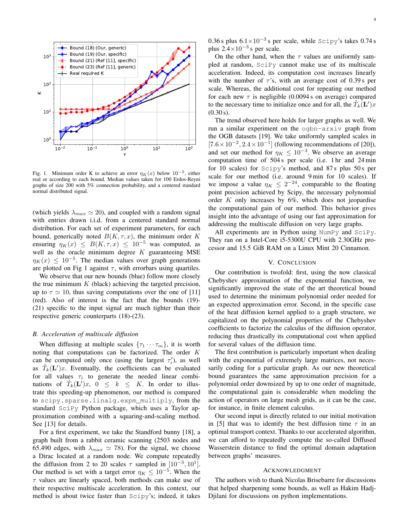

Fig. 1. Minimum order K to achieve an error  $\eta_K(x)$  below  $10^{-5}$ , either real or according to each bound. Median values taken for 100 Erdos-Reyni graphs of size 200 with 5% connection probability, and a centered standard normal distributed signal.

(which yields  $\lambda_{max} \simeq 20$ ), and coupled with a random signal with entries drawn i.i.d. from a centered standard normal distribution. For each set of experiment parameters, for each bound, generically noted  $B(K, \tau, x)$ , the minimum order K ensuring  $\eta_K(x) \leq B(K, \tau, x) \leq 10^{-5}$  was computed, as well as the oracle minimum degree  $K$  guaranteeing MSE  $\eta_K(x) \leq 10^{-5}$ . The median values over graph generations are plotted on Fig 1 against  $\tau$ , with errorbars using quartiles.

We observe that our new bounds (blue) follow more closely the true minimum  $K$  (black) achieving the targeted precision, up to  $\tau \simeq 10$ , thus saving computations over the one of [11] (red). Also of interest is the fact that the bounds (19)- (21) specific to the input signal are much tighter than their respective generic counterparts (18)-(23).

#### *B. Acceleration of multiscale diffusion*

When diffusing at multiple scales  $\{\tau_1 \cdots \tau_m\}$ , it is worth noting that computations can be factorized. The order K can be computed only once (using the largest  $\tau_i'$ ), as well as  $\tilde{T}_k(\mathbf{L}')x$ . Eventually, the coefficients can be evaluated for all values  $\tau_i$  to generate the needed linear combinations of  $\tilde{T}_k(\mathbf{L}')x$ ,  $0 \leq k \leq K$ . In order to illustrate this speeding-up phenomenon, our method is compared to scipy.sparse.linalg.expm\_multiply, from the standard SciPy Python package, which uses a Taylor approximation combined with a squaring-and-scaling method. See [13] for details.

For a first experiment, we take the Standford bunny [18], a graph built from a rabbit ceramic scanning (2503 nodes and 65.490 edges, with  $\lambda_{max} \simeq 78$ ). For the signal, we choose a Dirac located at a random node. We compute repeatedly the diffusion from 2 to 20 scales  $\tau$  sampled in [10<sup>-3</sup>, 10<sup>1</sup>]. Our method is set with a target error  $\eta_K \leq 10^{-5}$ . When the  $\tau$  values are linearly spaced, both methods can make use of their respective multiscale acceleration. In this context, our method is about twice faster than Scipy's; indeed, it takes 0.36 s plus  $6.1 \times 10^{-3}$  s per scale, while Scipy's takes 0.74 s plus  $2.4 \times 10^{-3}$  s per scale.

On the other hand, when the  $\tau$  values are uniformly sampled at random, SciPy cannot make use of its multiscale acceleration. Indeed, its computation cost increases linearly with the number of  $\tau$ 's, with an average cost of 0.39 s per scale. Whereas, the additional cost for repeating our method for each new  $\tau$  is negligible (0.0094 s on average) compared to the necessary time to initialize once and for all, the  $\tilde{T}_k(\mathbf{L}')x$  $(0.30 s)$ .

The trend observed here holds for larger graphs as well. We run a similar experiment on the ogbn-arxiv graph from the OGB datasets [19]. We take uniformly sampled scales in  $[7.6 \times 10^{-2}, 2.4 \times 10^{-1}]$  (following recommendations of [20]), and set our method for  $\eta_K \leq 10^{-3}$ . We observe an average computation time of 504 s per scale (i.e. 1 hr and 24 min for 10 scales) for Scipy's method, and 87 s plus 50 s per scale for our method (i.e. around 9 min for 10 scales). If we impose a value  $\eta_K \leq 2^{-24}$ , comparable to the floating point precision achieved by Scipy, the necessary polynomial order  $K$  only increases by  $6\%$ , which does not jeopardise the computational gain of our method. This behavior gives insight into the advantage of using our fast approximation for addressing the multiscale diffusion on very large graphs.

All experiments are in Python using NumPy and SciPy. They ran on a Intel-Core i5-5300U CPU with 2.30GHz processor and 15.5 GiB RAM on a Linux Mint 20 Cinnamon.

### V. CONCLUSION

Our contribution is twofold: first, using the now classical Chebyshev approximation of the exponential function, we significantly improved the state of the art theoretical bound used to determine the minimum polynomial order needed for an expected approximation error. Second, in the specific case of the heat diffusion kernel applied to a graph structure, we capitalized on the polynomial properties of the Chebyshev coefficients to factorize the calculus of the diffusion operator, reducing thus drastically its computational cost when applied for several values of the diffusion time.

The first contribution is particularly important when dealing with the exponential of extremely large matrices, not necessarily coding for a particular graph. As our new theoretical bound guarantees the same approximation precision for a polynomial order downsized by up to one order of magnitude, the computational gain is considerable when modeling the action of operators on large mesh grids, as it can be the case, for instance, in finite element calculus.

Our second input is directly related to our initial motivation in [5] that was to identify the best diffusion time  $\tau$  in an optimal transport context. Thanks to our accelerated algorithm, we can afford to repeatedly compute the so-called Diffused Wasserstein distance to find the optimal domain adaptation between graphs' measures.

### ACKNOWLEDGMENT

The authors wish to thank Nicolas Brisebarre for discussions that helped sharpening some bounds, as well as Hakim Hadj-Djilani for discussions on python implementations.